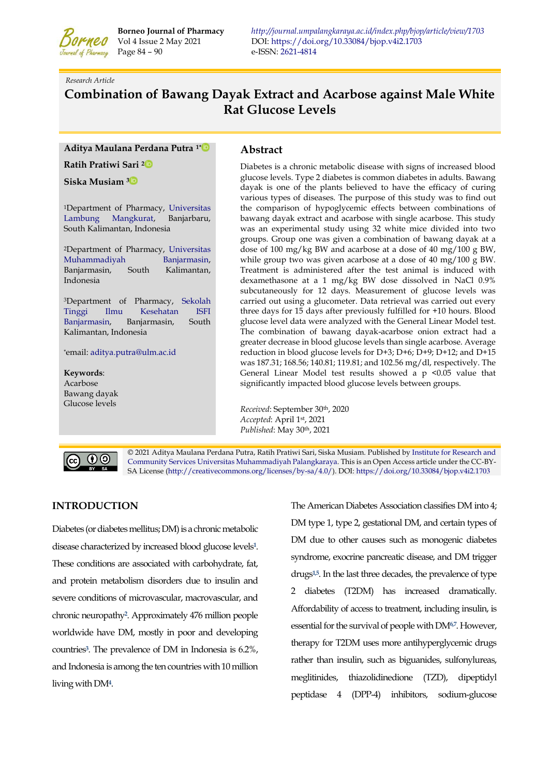

Page 84 – 90e-ISSN[: 2621-4814](https://portal.issn.org/resource/ISSN/2621-4814)

**Borneo Journal of Pharmacy** *<http://journal.umpalangkaraya.ac.id/index.php/bjop/article/view/1703>* DOI:<https://doi.org/10.33084/bjop.v4i2.1703>

*Research Article* 

# **Combination of Bawang Dayak Extract and Acarbose against Male White Rat Glucose Levels**

**Aditya Maulana Perdana Putra 1\*** 

**Ratih Pratiwi Sari 2** 

**Siska Musiam [3](https://orcid.org/0000-0003-3863-4431)** 

<sup>1</sup>Department of Pharmacy, [Universitas](https://ulm.ac.id/id/)  [Lambung Mangkurat,](https://ulm.ac.id/id/) Banjarbaru, South Kalimantan, Indonesia

<sup>2</sup>Department of Pharmacy, [Universitas](https://umbjm.ac.id/)  [Muhammadiyah Banjarmasin,](https://umbjm.ac.id/)  Banjarmasin, South Kalimantan, Indonesia

<sup>3</sup>Department of Pharmacy, [Sekolah](http://stikes-isfi.ac.id/)  [Tinggi Ilmu Kesehatan ISFI](http://stikes-isfi.ac.id/)  [Banjarmasin,](http://stikes-isfi.ac.id/) Banjarmasin, South Kalimantan, Indonesia

\*email: [aditya.putra@ulm.ac.id](mailto:aditya.putra@ulm.ac.id)

**Keywords**: Acarbose Bawang dayak Glucose levels

### **Abstract**

Diabetes is a chronic metabolic disease with signs of increased blood glucose levels. Type 2 diabetes is common diabetes in adults. Bawang dayak is one of the plants believed to have the efficacy of curing various types of diseases. The purpose of this study was to find out the comparison of hypoglycemic effects between combinations of bawang dayak extract and acarbose with single acarbose. This study was an experimental study using 32 white mice divided into two groups. Group one was given a combination of bawang dayak at a dose of 100 mg/kg BW and acarbose at a dose of 40 mg/100 g BW, while group two was given acarbose at a dose of 40 mg/100 g BW. Treatment is administered after the test animal is induced with dexamethasone at a 1 mg/kg BW dose dissolved in NaCl 0.9% subcutaneously for 12 days. Measurement of glucose levels was carried out using a glucometer. Data retrieval was carried out every three days for 15 days after previously fulfilled for +10 hours. Blood glucose level data were analyzed with the General Linear Model test. The combination of bawang dayak-acarbose onion extract had a greater decrease in blood glucose levels than single acarbose. Average reduction in blood glucose levels for D+3; D+6; D+9; D+12; and D+15 was 187.31; 168.56; 140.81; 119.81; and 102.56 mg/dl, respectively. The General Linear Model test results showed a  $p \le 0.05$  value that significantly impacted blood glucose levels between groups.

*Received*: September 30th, 2020 *Accepted*: April 1st, 2021 *Published*: May 30th, 2021



© 2021 Aditya Maulana Perdana Putra, Ratih Pratiwi Sari, Siska Musiam. Published b[y Institute for Research and](http://journal.umpalangkaraya.ac.id/)  [Community Services](http://journal.umpalangkaraya.ac.id/) [Universitas Muhammadiyah Palangkaraya.](http://umpalangkaraya.ac.id/) This is an Open Access article under the CC-BY-SA License [\(http://creativecommons.org/licenses/by-sa/4.0/\)](http://creativecommons.org/licenses/by-sa/4.0/). DOI[: https://doi.org/10.33084/bjop.v4i2.1](https://doi.org/10.33084/bjop.v4i2.1703)703

# **INTRODUCTION**

Diabetes (or diabetes mellitus; DM) is a chronic metabolic disease characterized by increased blood glucose level[s](#page-4-0)**<sup>1</sup>** . These conditions are associated with carbohydrate, fat, and protein metabolism disorders due to insulin and severe conditions of microvascular, macrovascular, and chronic neuropath[y](#page-4-1)**<sup>2</sup>** . Approximately 476 million people worldwide have DM, mostly in poor and developing countrie[s](#page-4-2)**<sup>3</sup>** . The prevalence of DM in Indonesia is 6.2%, and Indonesia is among the ten countries with 10 million living with DM**<sup>4</sup>** [.](#page-4-3) 

The American Diabetes Association classifies DM into 4; DM type 1, type 2, gestational DM, and certain types of DM due to other causes such as monogenic diabetes syndrome, exocrine pancreatic disease, and DM trigger drugs**[1,](#page-4-0)[5](#page-4-4)**. In the last three decades, the prevalence of type 2 diabetes (T2DM) has increased dramatically. Affordability of access to treatment, including insulin, is essential for the survival of people with DM**[6,](#page-4-5)[7](#page-4-6)**. However, therapy for T2DM uses more antihyperglycemic drugs rather than insulin, such as biguanides, sulfonylureas, meglitinides, thiazolidinedione (TZD), dipeptidyl peptidase 4 (DPP-4) inhibitors, sodium-glucose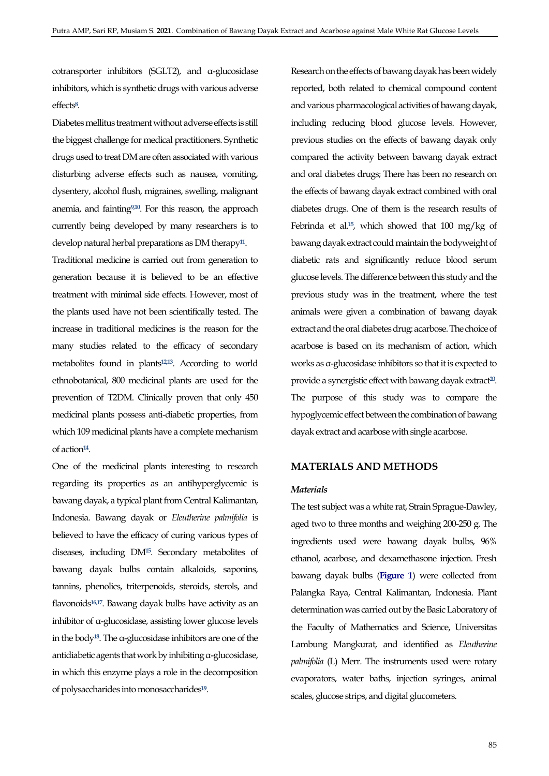cotransporter inhibitors (SGLT2), and α-glucosidase inhibitors, which is synthetic drugs with various adverse effect[s](#page-4-7)**<sup>8</sup>** .

Diabetes mellitus treatment without adverse effects is still the biggest challenge for medical practitioners. Synthetic drugs used to treat DM are often associated with various disturbing adverse effects such as nausea, vomiting, dysentery, alcohol flush, migraines, swelling, malignant anemia, and fainting**[9,](#page-4-8)[10](#page-4-9)** . For this reason, the approach currently being developed by many researchers is to develop natural herbal preparations as DM therapy**[11](#page-5-0)** .

Traditional medicine is carried out from generation to generation because it is believed to be an effective treatment with minimal side effects. However, most of the plants used have not been scientifically tested. The increase in traditional medicines is the reason for the many studies related to the efficacy of secondary metabolites found in plants**[12,](#page-5-1)[13](#page-5-2)**. According to world ethnobotanical, 800 medicinal plants are used for the prevention of T2DM. Clinically proven that only 450 medicinal plants possess anti-diabetic properties, from which 109 medicinal plants have a complete mechanism of action**[14](#page-5-3)** .

One of the medicinal plants interesting to research regarding its properties as an antihyperglycemic is bawang dayak, a typical plant from Central Kalimantan, Indonesia. Bawang dayak or *Eleutherine palmifolia* is believed to have the efficacy of curing various types of diseases, including DM**[15](#page-5-4)**. Secondary metabolites of bawang dayak bulbs contain alkaloids, saponins, tannins, phenolics, triterpenoids, steroids, sterols, and flavonoids**[16,](#page-5-5)[17](#page-5-6)** . Bawang dayak bulbs have activity as an inhibitor of α-glucosidase, assisting lower glucose levels in the body**[18](#page-5-7)**. The α-glucosidase inhibitors are one of the antidiabetic agents that work by inhibiting α-glucosidase, in which this enzyme plays a role in the decomposition of polysaccharides into monosaccharides**[19](#page-5-8)** .

Research on the effects of bawang dayak has been widely reported, both related to chemical compound content and various pharmacological activities of bawang dayak, including reducing blood glucose levels. However, previous studies on the effects of bawang dayak only compared the activity between bawang dayak extract and oral diabetes drugs; There has been no research on the effects of bawang dayak extract combined with oral diabetes drugs. One of them is the research results of Febrinda et al.**[15](#page-5-4)**, which showed that 100 mg/kg of bawang dayak extract could maintain the bodyweight of diabetic rats and significantly reduce blood serum glucose levels. The difference between this study and the previous study was in the treatment, where the test animals were given a combination of bawang dayak extract and the oral diabetes drug: acarbose. The choice of acarbose is based on its mechanism of action, which works as α-glucosidase inhibitors so that it is expected to provide a synergistic effect with bawang dayak extract**[20](#page-5-9)** . The purpose of this study was to compare the hypoglycemic effect between the combination of bawang dayak extract and acarbose with single acarbose.

### **MATERIALS AND METHODS**

#### *Materials*

The test subject was a white rat, Strain Sprague-Dawley, aged two to three months and weighing 200-250 g. The ingredients used were bawang dayak bulbs, 96% ethanol, acarbose, and dexamethasone injection. Fresh bawang dayak bulbs (**[Figure 1](#page-2-0)**) were collected from Palangka Raya, Central Kalimantan, Indonesia. Plant determination was carried out by the Basic Laboratory of the Faculty of Mathematics and Science, Universitas Lambung Mangkurat, and identified as *Eleutherine palmifolia* (L) Merr. The instruments used were rotary evaporators, water baths, injection syringes, animal scales, glucose strips, and digital glucometers.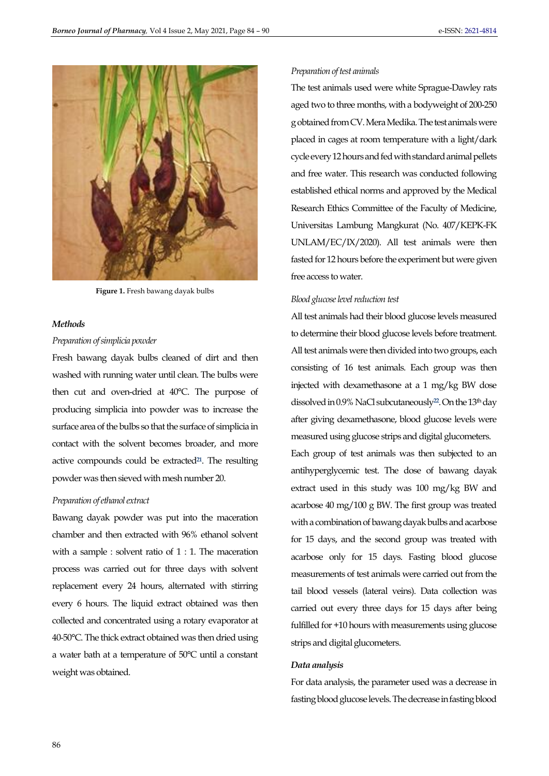<span id="page-2-0"></span>

**Figure 1.** Fresh bawang dayak bulbs

### *Methods*

### *Preparation of simplicia powder*

Fresh bawang dayak bulbs cleaned of dirt and then washed with running water until clean. The bulbs were then cut and oven-dried at 40°C. The purpose of producing simplicia into powder was to increase the surface area of the bulbs so that the surface of simplicia in contact with the solvent becomes broader, and more active compounds could be extracted $21$ . The resulting powder was then sieved with mesh number 20.

#### *Preparation of ethanol extract*

Bawang dayak powder was put into the maceration chamber and then extracted with 96% ethanol solvent with a sample : solvent ratio of 1 : 1. The maceration process was carried out for three days with solvent replacement every 24 hours, alternated with stirring every 6 hours. The liquid extract obtained was then collected and concentrated using a rotary evaporator at 40-50°C. The thick extract obtained was then dried using a water bath at a temperature of 50°C until a constant weight was obtained.

#### *Preparation of test animals*

The test animals used were white Sprague-Dawley rats aged two to three months, with a bodyweight of 200-250 g obtained from CV. Mera Medika. The test animals were placed in cages at room temperature with a light/dark cycle every 12 hours and fed with standard animal pellets and free water. This research was conducted following established ethical norms and approved by the Medical Research Ethics Committee of the Faculty of Medicine, Universitas Lambung Mangkurat (No. 407/KEPK-FK UNLAM/EC/IX/2020). All test animals were then fasted for 12 hours before the experiment but were given free access to water.

#### *Blood glucose level reduction test*

All test animals had their blood glucose levels measured to determine their blood glucose levels before treatment. All test animals were then divided into two groups, each consisting of 16 test animals. Each group was then injected with dexamethasone at a 1 mg/kg BW dose dissolved in 0.9% NaCl subcutaneously**[22](#page-5-11)**. On the 13th day after giving dexamethasone, blood glucose levels were measured using glucose strips and digital glucometers.

Each group of test animals was then subjected to an antihyperglycemic test. The dose of bawang dayak extract used in this study was 100 mg/kg BW and acarbose 40 mg/100 g BW. The first group was treated with a combination of bawang dayak bulbs and acarbose for 15 days, and the second group was treated with acarbose only for 15 days. Fasting blood glucose measurements of test animals were carried out from the tail blood vessels (lateral veins). Data collection was carried out every three days for 15 days after being fulfilled for +10 hours with measurements using glucose strips and digital glucometers.

#### *Data analysis*

For data analysis, the parameter used was a decrease in fasting blood glucose levels. The decrease in fasting blood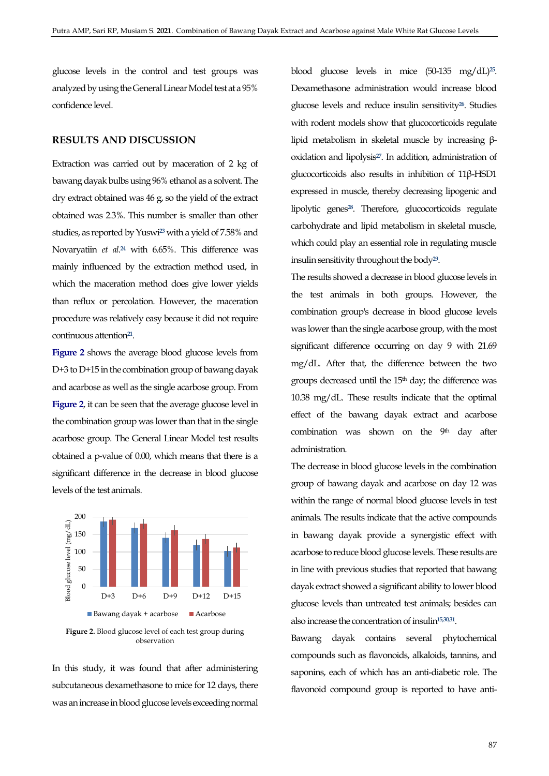glucose levels in the control and test groups was analyzed by using the General Linear Model test at a 95% confidence level.

## **RESULTS AND DISCUSSION**

Extraction was carried out by maceration of 2 kg of bawang dayak bulbs using 96% ethanol as a solvent. The dry extract obtained was 46 g, so the yield of the extract obtained was 2.3%. This number is smaller than other studies, as reported by Yuswi**[23](#page-5-12)** with a yield of 7.58% and Novaryatiin *et al*. **[24](#page-5-13)** with 6.65%. This difference was mainly influenced by the extraction method used, in which the maceration method does give lower yields than reflux or percolation. However, the maceration procedure was relatively easy because it did not require continuous attention**[21](#page-5-10)** .

**[Figure 2](#page-3-0)** shows the average blood glucose levels from D+3 to D+15 in the combination group of bawang dayak and acarbose as well as the single acarbose group. From **[Figure 2](#page-3-0)**, it can be seen that the average glucose level in the combination group was lower than that in the single acarbose group. The General Linear Model test results obtained a p-value of 0.00, which means that there is a significant difference in the decrease in blood glucose levels of the test animals.

<span id="page-3-0"></span>

**Figure 2.** Blood glucose level of each test group during observation

In this study, it was found that after administering subcutaneous dexamethasone to mice for 12 days, there was an increase in blood glucose levels exceeding normal

blood glucose levels in mice (50-135 mg/dL)**[25](#page-5-14)** . Dexamethasone administration would increase blood glucose levels and reduce insulin sensitivity**[26](#page-5-15)**. Studies with rodent models show that glucocorticoids regulate lipid metabolism in skeletal muscle by increasing βoxidation and lipolysis**[27](#page-5-16)**. In addition, administration of glucocorticoids also results in inhibition of 11β-HSD1 expressed in muscle, thereby decreasing lipogenic and lipolytic genes**[28](#page-5-17)**. Therefore, glucocorticoids regulate carbohydrate and lipid metabolism in skeletal muscle, which could play an essential role in regulating muscle insulin sensitivity throughout the body**[29](#page-5-18)** .

The results showed a decrease in blood glucose levels in the test animals in both groups. However, the combination group's decrease in blood glucose levels was lower than the single acarbose group, with the most significant difference occurring on day 9 with 21.69 mg/dL. After that, the difference between the two groups decreased until the  $15<sup>th</sup>$  day; the difference was 10.38 mg/dL. These results indicate that the optimal effect of the bawang dayak extract and acarbose combination was shown on the  $9<sup>th</sup>$  day after administration.

The decrease in blood glucose levels in the combination group of bawang dayak and acarbose on day 12 was within the range of normal blood glucose levels in test animals. The results indicate that the active compounds in bawang dayak provide a synergistic effect with acarbose to reduce blood glucose levels. These results are in line with previous studies that reported that bawang dayak extract showed a significant ability to lower blood glucose levels than untreated test animals; besides can also increase the concentration of insulin**[15,](#page-5-4)[30,](#page-6-0)[31](#page-6-1)** .

Bawang dayak contains several phytochemical compounds such as flavonoids, alkaloids, tannins, and saponins, each of which has an anti-diabetic role. The flavonoid compound group is reported to have anti-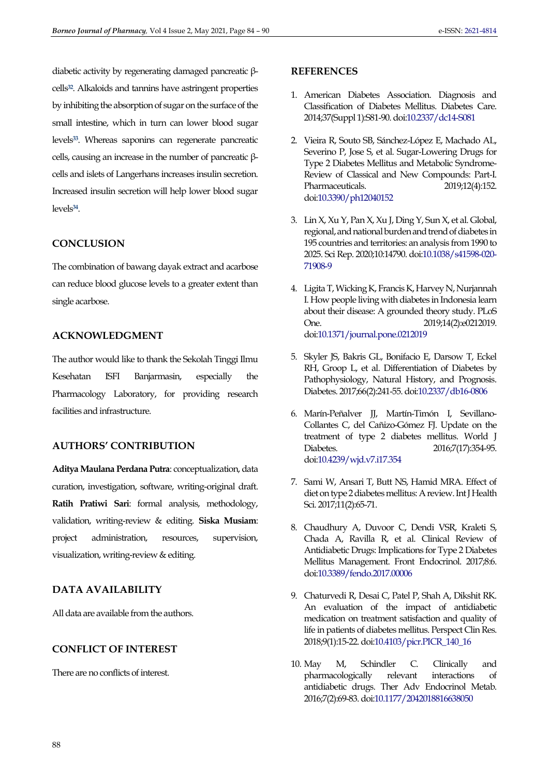diabetic activity by regenerating damaged pancreatic βcells**[32](#page-6-2)**. Alkaloids and tannins have astringent properties by inhibiting the absorption of sugar on the surface of the small intestine, which in turn can lower blood sugar levels**[33](#page-6-3)**. Whereas saponins can regenerate pancreatic cells, causing an increase in the number of pancreatic βcells and islets of Langerhans increases insulin secretion. Increased insulin secretion will help lower blood sugar levels**[34](#page-6-4)** .

# **CONCLUSION**

The combination of bawang dayak extract and acarbose can reduce blood glucose levels to a greater extent than single acarbose.

# **ACKNOWLEDGMENT**

The author would like to thank the Sekolah Tinggi Ilmu Kesehatan ISFI Banjarmasin, especially the Pharmacology Laboratory, for providing research facilities and infrastructure.

# **AUTHORS' CONTRIBUTION**

**Aditya Maulana Perdana Putra**: conceptualization, data curation, investigation, software, writing-original draft. **Ratih Pratiwi Sari**: formal analysis, methodology, validation, writing-review & editing. **Siska Musiam**: project administration, resources, supervision, visualization, writing-review & editing.

# **DATA AVAILABILITY**

All data are available from the authors.

### **CONFLICT OF INTEREST**

There are no conflicts of interest.

### **REFERENCES**

- <span id="page-4-0"></span>1. American Diabetes Association. Diagnosis and Classification of Diabetes Mellitus. Diabetes Care. 2014;37(Suppl 1):S81-90. do[i:10.2337/dc14-S081](https://doi.org/10.2337/dc14-S081)
- <span id="page-4-1"></span>2. Vieira R, Souto SB, Sánchez-López E, Machado AL, Severino P, Jose S, et al. Sugar-Lowering Drugs for Type 2 Diabetes Mellitus and Metabolic Syndrome-Review of Classical and New Compounds: Part-I. Pharmaceuticals. 2019;12(4):152. do[i:10.3390/ph12040152](https://doi.org/10.3390/ph12040152)
- <span id="page-4-2"></span>3. Lin X, Xu Y, Pan X, Xu J, Ding Y, Sun X, et al. Global, regional, and national burden and trend of diabetes in 195 countries and territories: an analysis from 1990 to 2025. Sci Rep. 2020;10:14790. do[i:10.1038/s41598-020-](https://dx.doi.org/10.1038/s41598-020-71908-9) [71908-9](https://dx.doi.org/10.1038/s41598-020-71908-9)
- <span id="page-4-3"></span>4. Ligita T, Wicking K, Francis K, Harvey N, Nurjannah I. How people living with diabetes in Indonesia learn about their disease: A grounded theory study. PLoS One. 2019;14(2):e0212019. do[i:10.1371/journal.pone.0212019](https://dx.doi.org/10.1371/journal.pone.0212019)
- <span id="page-4-4"></span>5. Skyler JS, Bakris GL, Bonifacio E, Darsow T, Eckel RH, Groop L, et al. Differentiation of Diabetes by Pathophysiology, Natural History, and Prognosis. Diabetes. 2017;66(2):241-55. do[i:10.2337/db16-0806](https://dx.doi.org/10.2337/db16-0806)
- <span id="page-4-5"></span>6. Marín-Peñalver JJ, Martín-Timón I, Sevillano-Collantes C, del Cañizo-Gómez FJ. Update on the treatment of type 2 diabetes mellitus. World J Diabetes. 2016;7(17):354-95. do[i:10.4239/wjd.v7.i17.354](https://dx.doi.org/10.4239/wjd.v7.i17.354)
- <span id="page-4-6"></span>7. Sami W, Ansari T, Butt NS, Hamid MRA. Effect of diet on type 2 diabetes mellitus: A review. Int J Health Sci. 2017;11(2):65-71.
- <span id="page-4-7"></span>8. Chaudhury A, Duvoor C, Dendi VSR, Kraleti S, Chada A, Ravilla R, et al. Clinical Review of Antidiabetic Drugs: Implications for Type 2 Diabetes Mellitus Management. Front Endocrinol. 2017;8:6. do[i:10.3389/fendo.2017.00006](https://dx.doi.org/10.3389/fendo.2017.00006)
- <span id="page-4-8"></span>9. Chaturvedi R, Desai C, Patel P, Shah A, Dikshit RK. An evaluation of the impact of antidiabetic medication on treatment satisfaction and quality of life in patients of diabetes mellitus. Perspect Clin Res. 2018;9(1):15-22. do[i:10.4103/picr.PICR\\_140\\_16](https://dx.doi.org/10.4103/picr.PICR_140_16)
- <span id="page-4-9"></span>10. May M, Schindler C. Clinically and pharmacologically relevant interactions of antidiabetic drugs. Ther Adv Endocrinol Metab. 2016;7(2):69-83. do[i:10.1177/2042018816638050](https://dx.doi.org/10.1177/2042018816638050)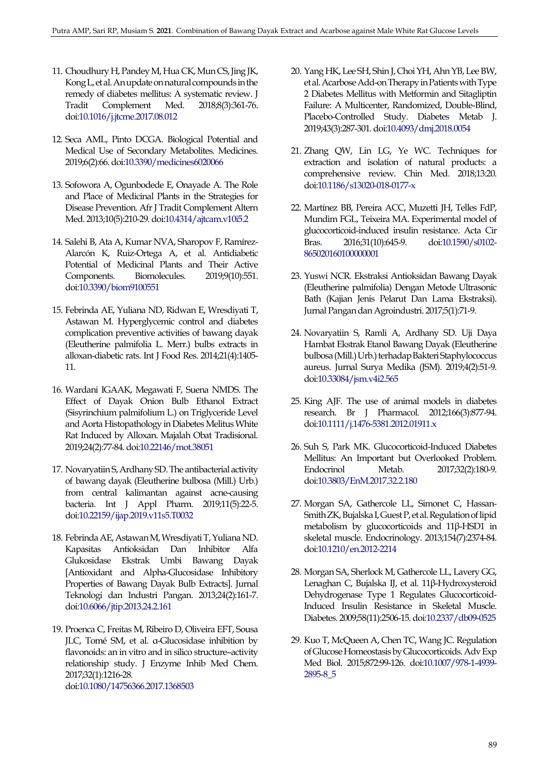- <span id="page-5-0"></span>11. Choudhury H, Pandey M, Hua CK, Mun CS, Jing JK, Kong L, et al. An update on natural compounds in the remedy of diabetes mellitus: A systematic review. J<br>Tradit Complement Med. 2018;8(3):361-76. Tradit Complement Med. 2018;8(3):361-76. do[i:10.1016/j.jtcme.2017.08.012](https://dx.doi.org/10.1016/j.jtcme.2017.08.012)
- <span id="page-5-1"></span>12. Seca AML, Pinto DCGA. Biological Potential and Medical Use of Secondary Metabolites. Medicines. 2019;6(2):66. do[i:10.3390/medicines6020066](https://dx.doi.org/10.3390/medicines6020066)
- <span id="page-5-2"></span>13. Sofowora A, Ogunbodede E, Onayade A. The Role and Place of Medicinal Plants in the Strategies for Disease Prevention. Afr J Tradit Complement Altern Med. 2013;10(5):210-29. do[i:10.4314/ajtcam.v10i5.2](https://dx.doi.org/10.4314/ajtcam.v10i5.2)
- <span id="page-5-3"></span>14. Salehi B, Ata A, Kumar NVA, Sharopov F, Ramírez-Alarcón K, Ruiz-Ortega A, et al. Antidiabetic Potential of Medicinal Plants and Their Active Components. Biomolecules. 2019;9(10):551. do[i:10.3390/biom9100551](https://dx.doi.org/10.3390/biom9100551)
- <span id="page-5-4"></span>15. Febrinda AE, Yuliana ND, Ridwan E, Wresdiyati T, Astawan M. Hyperglycemic control and diabetes complication preventive activities of bawang dayak (Eleutherine palmifolia L. Merr.) bulbs extracts in alloxan-diabetic rats. Int J Food Res. 2014;21(4):1405- 11.
- <span id="page-5-5"></span>16. Wardani IGAAK, Megawati F, Suena NMDS. The Effect of Dayak Onion Bulb Ethanol Extract (Sisyrinchium palmifolium L.) on Triglyceride Level and Aorta Histopathology in Diabetes Melitus White Rat Induced by Alloxan. Majalah Obat Tradisional. 2019;24(2):77-84. do[i:10.22146/mot.38051](https://doi.org/10.22146/mot.38051)
- <span id="page-5-6"></span>17. Novaryatiin S, Ardhany SD. The antibacterial activity of bawang dayak (Eleutherine bulbosa (Mill.) Urb.) from central kalimantan against acne-causing bacteria. Int J Appl Pharm. 2019;11(5):22-5. do[i:10.22159/ijap.2019.v11s5.T0032](https://doi.org/10.22159/ijap.2019.v11s5.T0032)
- <span id="page-5-7"></span>18. Febrinda AE, Astawan M, Wresdiyati T, Yuliana ND. Kapasitas Antioksidan Dan Inhibitor Alfa Glukosidase Ekstrak Umbi Bawang Dayak [Antioxidant and Alpha-Glucosidase Inhibitory Properties of Bawang Dayak Bulb Extracts]. Jurnal Teknologi dan Industri Pangan. 2013;24(2):161-7. do[i:10.6066/jtip.2013.24.2.161](https://doi.org/10.6066/jtip.2013.24.2.161)
- <span id="page-5-8"></span>19. Proenca C, Freitas M, Ribeiro D, Oliveira EFT, Sousa JLC, Tomé SM, et al. α-Glucosidase inhibition by flavonoids: an in vitro and in silico structure–activity relationship study. J Enzyme Inhib Med Chem. 2017;32(1):1216-28. do[i:10.1080/14756366.2017.1368503](https://dx.doi.org/10.1080/14756366.2017.1368503)
- <span id="page-5-9"></span>20. Yang HK, Lee SH, Shin J, Choi YH, Ahn YB, Lee BW, et al. Acarbose Add-on Therapy in Patients with Type 2 Diabetes Mellitus with Metformin and Sitagliptin Failure: A Multicenter, Randomized, Double-Blind, Placebo-Controlled Study. Diabetes Metab J. 2019;43(3):287-301. do[i:10.4093/dmj.2018.0054](https://dx.doi.org/10.4093/dmj.2018.0054)
- <span id="page-5-10"></span>21. Zhang QW, Lin LG, Ye WC. Techniques for extraction and isolation of natural products: a comprehensive review. Chin Med. 2018;13:20. do[i:10.1186/s13020-018-0177-x](https://dx.doi.org/10.1186/s13020-018-0177-x)
- <span id="page-5-11"></span>22. Martínez BB, Pereira ACC, Muzetti JH, Telles FdP, Mundim FGL, Teixeira MA. Experimental model of glucocorticoid-induced insulin resistance. Acta Cir Bras. 2016;31(10):645-9. do[i:10.1590/s0102-](https://doi.org/10.1590/s0102-865020160100000001) [865020160100000001](https://doi.org/10.1590/s0102-865020160100000001)
- <span id="page-5-12"></span>23. Yuswi NCR. Ekstraksi Antioksidan Bawang Dayak (Eleutherine palmifolia) Dengan Metode Ultrasonic Bath (Kajian Jenis Pelarut Dan Lama Ekstraksi). Jurnal Pangan dan Agroindustri. 2017;5(1):71-9.
- <span id="page-5-13"></span>24. Novaryatiin S, Ramli A, Ardhany SD. Uji Daya Hambat Ekstrak Etanol Bawang Dayak (Eleutherine bulbosa (Mill.) Urb.) terhadap Bakteri Staphylococcus aureus. Jurnal Surya Medika (JSM). 2019;4(2):51-9. do[i:10.33084/jsm.v4i2.565](https://doi.org/10.33084/jsm.v4i2.565)
- <span id="page-5-14"></span>25. King AJF. The use of animal models in diabetes research. Br J Pharmacol. 2012;166(3):877-94. do[i:10.1111/j.1476-5381.2012.01911.x](https://dx.doi.org/10.1111/j.1476-5381.2012.01911.x)
- <span id="page-5-15"></span>26. Suh S, Park MK. Glucocorticoid-Induced Diabetes Mellitus: An Important but Overlooked Problem. Endocrinol Metab. 2017;32(2):180-9. do[i:10.3803/EnM.2017.32.2.180](https://dx.doi.org/10.3803/EnM.2017.32.2.180)
- <span id="page-5-16"></span>27. Morgan SA, Gathercole LL, Simonet C, Hassan-Smith ZK, Bujalska I, Guest P, et al. Regulation of lipid metabolism by glucocorticoids and 11β-HSD1 in skeletal muscle. Endocrinology. 2013;154(7):2374-84. do[i:10.1210/en.2012-2214](https://doi.org/10.1210/en.2012-2214)
- <span id="page-5-17"></span>28. Morgan SA, Sherlock M, Gathercole LL, Lavery GG, Lenaghan C, Bujalska IJ, et al. 11β-Hydroxysteroid Dehydrogenase Type 1 Regulates Glucocorticoid-Induced Insulin Resistance in Skeletal Muscle. Diabetes. 2009;58(11):2506-15. do[i:10.2337/db09-0525](https://dx.doi.org/10.2337/db09-0525)
- <span id="page-5-18"></span>29. Kuo T, McQueen A, Chen TC, Wang JC. Regulation of Glucose Homeostasis by Glucocorticoids. Adv Exp Med Biol. 2015;872:99-126. do[i:10.1007/978-1-4939-](https://dx.doi.org/10.1007/978-1-4939-2895-8_5) [2895-8\\_5](https://dx.doi.org/10.1007/978-1-4939-2895-8_5)